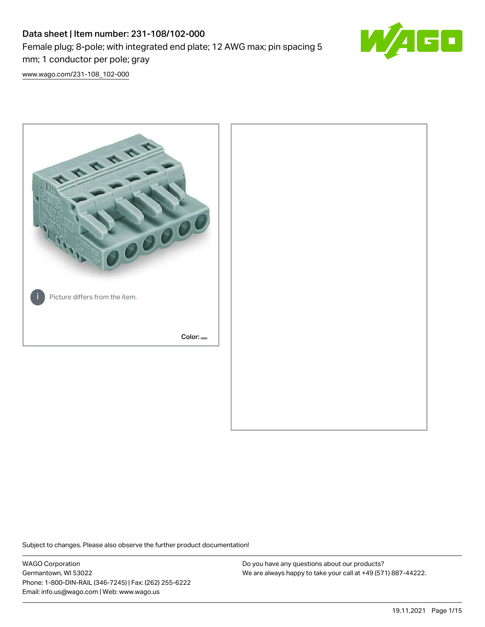# Data sheet | Item number: 231-108/102-000 Female plug; 8-pole; with integrated end plate; 12 AWG max; pin spacing 5 mm; 1 conductor per pole; gray



[www.wago.com/231-108\\_102-000](http://www.wago.com/231-108_102-000)



Subject to changes. Please also observe the further product documentation!

WAGO Corporation Germantown, WI 53022 Phone: 1-800-DIN-RAIL (346-7245) | Fax: (262) 255-6222 Email: info.us@wago.com | Web: www.wago.us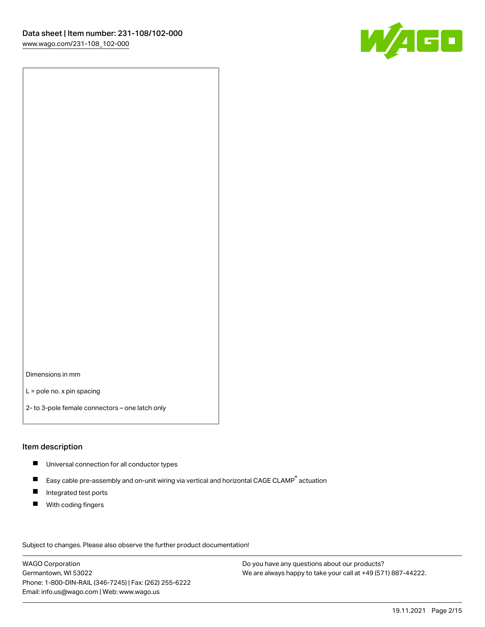

Dimensions in mm

L = pole no. x pin spacing

2- to 3-pole female connectors – one latch only

### Item description

- **Universal connection for all conductor types**
- Easy cable pre-assembly and on-unit wiring via vertical and horizontal CAGE CLAMP<sup>®</sup> actuation  $\blacksquare$
- $\blacksquare$ Integrated test ports
- $\blacksquare$ With coding fingers

Subject to changes. Please also observe the further product documentation! Data

WAGO Corporation Germantown, WI 53022 Phone: 1-800-DIN-RAIL (346-7245) | Fax: (262) 255-6222 Email: info.us@wago.com | Web: www.wago.us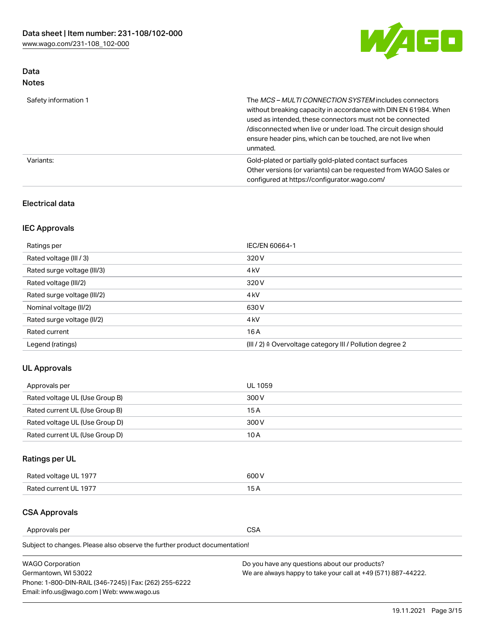

### Data Notes

| Safety information 1 | The MCS-MULTI CONNECTION SYSTEM includes connectors<br>without breaking capacity in accordance with DIN EN 61984. When<br>used as intended, these connectors must not be connected<br>/disconnected when live or under load. The circuit design should<br>ensure header pins, which can be touched, are not live when<br>unmated. |
|----------------------|-----------------------------------------------------------------------------------------------------------------------------------------------------------------------------------------------------------------------------------------------------------------------------------------------------------------------------------|
| Variants:            | Gold-plated or partially gold-plated contact surfaces<br>Other versions (or variants) can be requested from WAGO Sales or<br>configured at https://configurator.wago.com/                                                                                                                                                         |

### Electrical data

### IEC Approvals

| Ratings per                 | IEC/EN 60664-1                                                        |  |
|-----------------------------|-----------------------------------------------------------------------|--|
| Rated voltage (III / 3)     | 320 V                                                                 |  |
| Rated surge voltage (III/3) | 4 <sub>k</sub> V                                                      |  |
| Rated voltage (III/2)       | 320 V                                                                 |  |
| Rated surge voltage (III/2) | 4 <sub>k</sub> V                                                      |  |
| Nominal voltage (II/2)      | 630 V                                                                 |  |
| Rated surge voltage (II/2)  | 4 <sub>k</sub> V                                                      |  |
| Rated current               | 16A                                                                   |  |
| Legend (ratings)            | $(III / 2)$ $\triangle$ Overvoltage category III / Pollution degree 2 |  |

### UL Approvals

| Approvals per                  | UL 1059 |
|--------------------------------|---------|
| Rated voltage UL (Use Group B) | 300 V   |
| Rated current UL (Use Group B) | 15 A    |
| Rated voltage UL (Use Group D) | 300 V   |
| Rated current UL (Use Group D) | 10 A    |

### Ratings per UL

| Rated voltage UL 1977 | 300 V |
|-----------------------|-------|
| Rated current UL 1977 |       |

### CSA Approvals

Approvals per CSA

| <b>WAGO Corporation</b>                                | Do you have any questions about our products?                 |
|--------------------------------------------------------|---------------------------------------------------------------|
| Germantown, WI 53022                                   | We are always happy to take your call at +49 (571) 887-44222. |
| Phone: 1-800-DIN-RAIL (346-7245)   Fax: (262) 255-6222 |                                                               |
| Email: info.us@wago.com   Web: www.wago.us             |                                                               |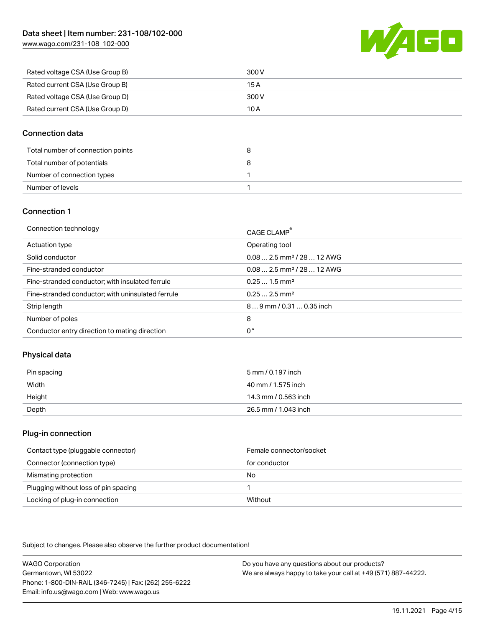[www.wago.com/231-108\\_102-000](http://www.wago.com/231-108_102-000)



| Rated voltage CSA (Use Group B) | 300 V |
|---------------------------------|-------|
| Rated current CSA (Use Group B) | 15 A  |
| Rated voltage CSA (Use Group D) | 300 V |
| Rated current CSA (Use Group D) | 10 A  |

### Connection data

| Total number of connection points |  |
|-----------------------------------|--|
| Total number of potentials        |  |
| Number of connection types        |  |
| Number of levels                  |  |

### Connection 1

| Connection technology                             | CAGE CLAMP <sup>®</sup>                 |
|---------------------------------------------------|-----------------------------------------|
| Actuation type                                    | Operating tool                          |
| Solid conductor                                   | $0.082.5$ mm <sup>2</sup> / 28  12 AWG  |
| Fine-stranded conductor                           | $0.08$ 2.5 mm <sup>2</sup> / 28  12 AWG |
| Fine-stranded conductor; with insulated ferrule   | $0.251.5$ mm <sup>2</sup>               |
| Fine-stranded conductor; with uninsulated ferrule | $0.252.5$ mm <sup>2</sup>               |
| Strip length                                      | 89 mm / 0.31  0.35 inch                 |
| Number of poles                                   | 8                                       |
| Conductor entry direction to mating direction     | 0°                                      |

### Physical data

| Pin spacing | 5 mm / 0.197 inch    |
|-------------|----------------------|
| Width       | 40 mm / 1.575 inch   |
| Height      | 14.3 mm / 0.563 inch |
| Depth       | 26.5 mm / 1.043 inch |

### Plug-in connection

| Contact type (pluggable connector)   | Female connector/socket |
|--------------------------------------|-------------------------|
| Connector (connection type)          | for conductor           |
| Mismating protection                 | No                      |
| Plugging without loss of pin spacing |                         |
| Locking of plug-in connection        | Without                 |

Subject to changes. Please also observe the further product documentation!

WAGO Corporation Germantown, WI 53022 Phone: 1-800-DIN-RAIL (346-7245) | Fax: (262) 255-6222 Email: info.us@wago.com | Web: www.wago.us Do you have any questions about our products? We are always happy to take your call at +49 (571) 887-44222.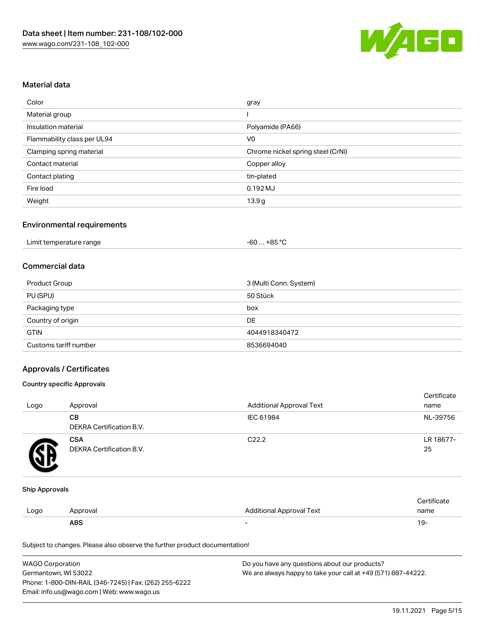

### Material data

| Color                       | gray                              |  |
|-----------------------------|-----------------------------------|--|
| Material group              |                                   |  |
| Insulation material         | Polyamide (PA66)                  |  |
| Flammability class per UL94 | V <sub>0</sub>                    |  |
| Clamping spring material    | Chrome nickel spring steel (CrNi) |  |
| Contact material            | Copper alloy                      |  |
| Contact plating             | tin-plated                        |  |
| Fire load                   | $0.192$ MJ                        |  |
| Weight                      | 13.9 <sub>g</sub>                 |  |

### Environmental requirements

| Limit temperature range<br>$\blacksquare$ . The contract of the contract of the contract of the contract of the contract of the contract of the contract of the contract of the contract of the contract of the contract of the contract of the contract of the | -60  +85 °Ր |  |
|-----------------------------------------------------------------------------------------------------------------------------------------------------------------------------------------------------------------------------------------------------------------|-------------|--|
|-----------------------------------------------------------------------------------------------------------------------------------------------------------------------------------------------------------------------------------------------------------------|-------------|--|

### Commercial data

| Product Group         | 3 (Multi Conn. System) |
|-----------------------|------------------------|
| PU (SPU)              | 50 Stück               |
| Packaging type        | box                    |
| Country of origin     | DE                     |
| <b>GTIN</b>           | 4044918340472          |
| Customs tariff number | 8536694040             |

### Approvals / Certificates

#### Country specific Approvals

| Logo | Approval                               | <b>Additional Approval Text</b> | Certificate<br>name |
|------|----------------------------------------|---------------------------------|---------------------|
|      | CВ<br>DEKRA Certification B.V.         | IEC 61984                       | NL-39756            |
|      | <b>CSA</b><br>DEKRA Certification B.V. | C <sub>22.2</sub>               | LR 18677-<br>25     |

#### Ship Approvals

|      | ABS      |                          | - ك ا       |
|------|----------|--------------------------|-------------|
| Logo | Approval | Additional Approval Text | name        |
|      |          |                          | ∵ertificate |

| <b>WAGO Corporation</b>                                | Do you have any questions about our products?                 |
|--------------------------------------------------------|---------------------------------------------------------------|
| Germantown, WI 53022                                   | We are always happy to take your call at +49 (571) 887-44222. |
| Phone: 1-800-DIN-RAIL (346-7245)   Fax: (262) 255-6222 |                                                               |
| Email: info.us@wago.com   Web: www.wago.us             |                                                               |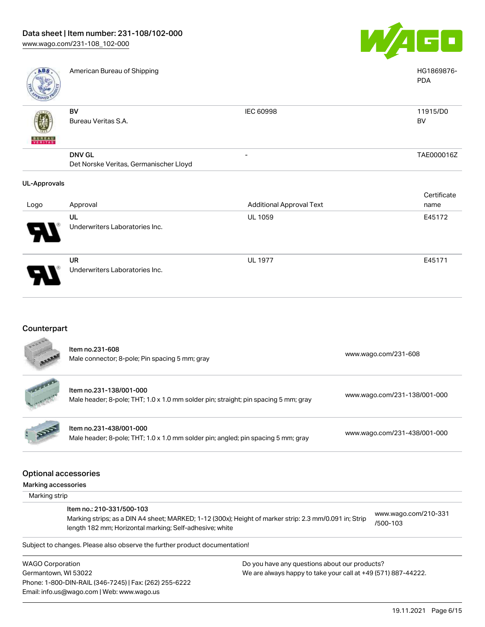Underwriters Laboratories Inc.



| <b>ABS</b>          | American Bureau of Shipping                             |                                 | HG1869876-<br><b>PDA</b> |
|---------------------|---------------------------------------------------------|---------------------------------|--------------------------|
| <b>VERITAS</b>      | BV<br>Bureau Veritas S.A.                               | <b>IEC 60998</b>                | 11915/D0<br><b>BV</b>    |
|                     | <b>DNV GL</b><br>Det Norske Veritas, Germanischer Lloyd | -                               | TAE000016Z               |
| <b>UL-Approvals</b> |                                                         |                                 |                          |
|                     |                                                         |                                 | Certificate              |
| Logo                | Approval                                                | <b>Additional Approval Text</b> | name                     |
|                     | UL                                                      | <b>UL 1059</b>                  | E45172                   |
|                     | Underwriters Laboratories Inc.                          |                                 |                          |
|                     | <b>UR</b>                                               | <b>UL 1977</b>                  | E45171                   |

### Counterpart

Email: info.us@wago.com | Web: www.wago.us

|                         | Item no.231-608<br>Male connector; 8-pole; Pin spacing 5 mm; gray                                                                                                                              |                                                               | www.wago.com/231-608             |
|-------------------------|------------------------------------------------------------------------------------------------------------------------------------------------------------------------------------------------|---------------------------------------------------------------|----------------------------------|
|                         | Item no.231-138/001-000<br>Male header; 8-pole; THT; 1.0 x 1.0 mm solder pin; straight; pin spacing 5 mm; gray                                                                                 |                                                               | www.wago.com/231-138/001-000     |
|                         | Item no.231-438/001-000<br>Male header; 8-pole; THT; 1.0 x 1.0 mm solder pin; angled; pin spacing 5 mm; gray                                                                                   |                                                               | www.wago.com/231-438/001-000     |
| Marking accessories     | <b>Optional accessories</b>                                                                                                                                                                    |                                                               |                                  |
| Marking strip           |                                                                                                                                                                                                |                                                               |                                  |
|                         | Item no.: 210-331/500-103<br>Marking strips; as a DIN A4 sheet; MARKED; 1-12 (300x); Height of marker strip: 2.3 mm/0.091 in; Strip<br>length 182 mm; Horizontal marking; Self-adhesive; white |                                                               | www.wago.com/210-331<br>/500-103 |
|                         | Subject to changes. Please also observe the further product documentation!                                                                                                                     |                                                               |                                  |
| <b>WAGO Corporation</b> |                                                                                                                                                                                                | Do you have any questions about our products?                 |                                  |
| Germantown, WI 53022    |                                                                                                                                                                                                | We are always happy to take your call at +49 (571) 887-44222. |                                  |
|                         | Phone: 1-800-DIN-RAIL (346-7245)   Fax: (262) 255-6222                                                                                                                                         |                                                               |                                  |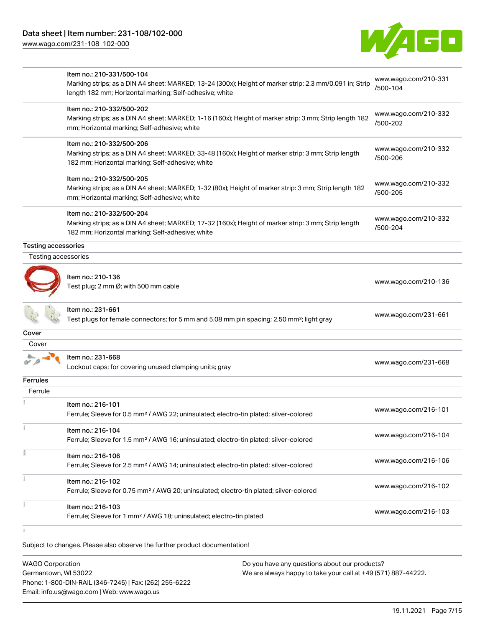[www.wago.com/231-108\\_102-000](http://www.wago.com/231-108_102-000)



|                            | Item no.: 210-331/500-104<br>Marking strips; as a DIN A4 sheet; MARKED; 13-24 (300x); Height of marker strip: 2.3 mm/0.091 in; Strip                    | www.wago.com/210-331<br>/500-104 |
|----------------------------|---------------------------------------------------------------------------------------------------------------------------------------------------------|----------------------------------|
|                            | length 182 mm; Horizontal marking; Self-adhesive; white                                                                                                 |                                  |
|                            | Item no.: 210-332/500-202                                                                                                                               | www.wago.com/210-332             |
|                            | Marking strips; as a DIN A4 sheet; MARKED; 1-16 (160x); Height of marker strip: 3 mm; Strip length 182<br>mm; Horizontal marking; Self-adhesive; white  | /500-202                         |
|                            | Item no.: 210-332/500-206                                                                                                                               | www.wago.com/210-332             |
|                            | Marking strips; as a DIN A4 sheet; MARKED; 33-48 (160x); Height of marker strip: 3 mm; Strip length<br>182 mm; Horizontal marking; Self-adhesive; white | /500-206                         |
|                            | Item no.: 210-332/500-205                                                                                                                               |                                  |
|                            | Marking strips; as a DIN A4 sheet; MARKED; 1-32 (80x); Height of marker strip: 3 mm; Strip length 182<br>mm; Horizontal marking; Self-adhesive; white   | www.wago.com/210-332<br>/500-205 |
|                            | Item no.: 210-332/500-204                                                                                                                               | www.wago.com/210-332             |
|                            | Marking strips; as a DIN A4 sheet; MARKED; 17-32 (160x); Height of marker strip: 3 mm; Strip length                                                     | /500-204                         |
|                            | 182 mm; Horizontal marking; Self-adhesive; white                                                                                                        |                                  |
| <b>Testing accessories</b> |                                                                                                                                                         |                                  |
| Testing accessories        |                                                                                                                                                         |                                  |
|                            | ltem no.: 210-136<br>Test plug; 2 mm Ø; with 500 mm cable                                                                                               | www.wago.com/210-136             |
|                            | ltem no.: 231-661<br>Test plugs for female connectors; for 5 mm and 5.08 mm pin spacing; 2,50 mm <sup>2</sup> ; light gray                              | www.wago.com/231-661             |
| Cover                      |                                                                                                                                                         |                                  |
| Cover                      |                                                                                                                                                         |                                  |
|                            | Item no.: 231-668<br>Lockout caps; for covering unused clamping units; gray                                                                             | www.wago.com/231-668             |
| <b>Ferrules</b>            |                                                                                                                                                         |                                  |
| Ferrule                    |                                                                                                                                                         |                                  |
|                            | Item no.: 216-101<br>Ferrule; Sleeve for 0.5 mm <sup>2</sup> / AWG 22; uninsulated; electro-tin plated; silver-colored                                  | www.wago.com/216-101             |
|                            | Item no.: 216-104<br>Ferrule; Sleeve for 1.5 mm <sup>2</sup> / AWG 16; uninsulated; electro-tin plated; silver-colored                                  | www.wago.com/216-104             |
| Ĭ                          | Item no.: 216-106                                                                                                                                       | www.wago.com/216-106             |
|                            | Ferrule; Sleeve for 2.5 mm <sup>2</sup> / AWG 14; uninsulated; electro-tin plated; silver-colored                                                       |                                  |
|                            | Item no.: 216-102<br>Ferrule; Sleeve for 0.75 mm <sup>2</sup> / AWG 20; uninsulated; electro-tin plated; silver-colored                                 | www.wago.com/216-102             |
|                            | Item no.: 216-103<br>Ferrule; Sleeve for 1 mm <sup>2</sup> / AWG 18; uninsulated; electro-tin plated                                                    | www.wago.com/216-103             |
|                            |                                                                                                                                                         |                                  |

| <b>WAGO Corporation</b>                                | Do you have any questions about our products?                 |
|--------------------------------------------------------|---------------------------------------------------------------|
| Germantown, WI 53022                                   | We are always happy to take your call at +49 (571) 887-44222. |
| Phone: 1-800-DIN-RAIL (346-7245)   Fax: (262) 255-6222 |                                                               |
| Email: info.us@wago.com   Web: www.wago.us             |                                                               |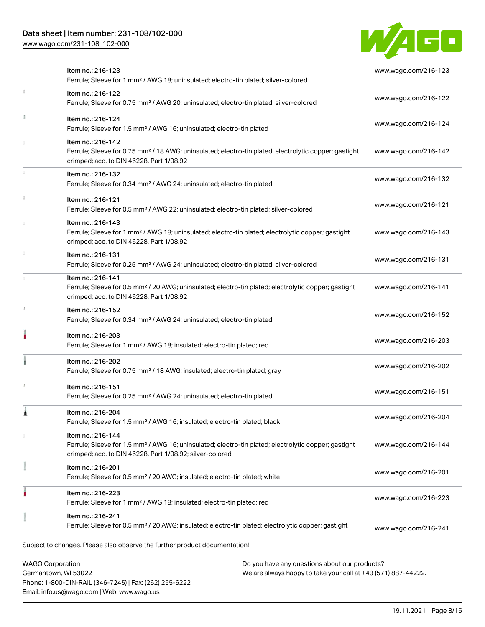Phone: 1-800-DIN-RAIL (346-7245) | Fax: (262) 255-6222

Email: info.us@wago.com | Web: www.wago.us

[www.wago.com/231-108\\_102-000](http://www.wago.com/231-108_102-000)



| Item no.: 216-123<br>Ferrule; Sleeve for 1 mm <sup>2</sup> / AWG 18; uninsulated; electro-tin plated; silver-colored                                                                              |                                                                                                                | www.wago.com/216-123 |
|---------------------------------------------------------------------------------------------------------------------------------------------------------------------------------------------------|----------------------------------------------------------------------------------------------------------------|----------------------|
| Item no.: 216-122<br>Ferrule; Sleeve for 0.75 mm <sup>2</sup> / AWG 20; uninsulated; electro-tin plated; silver-colored                                                                           |                                                                                                                | www.wago.com/216-122 |
| Item no.: 216-124<br>Ferrule; Sleeve for 1.5 mm <sup>2</sup> / AWG 16; uninsulated; electro-tin plated                                                                                            |                                                                                                                | www.wago.com/216-124 |
| Item no.: 216-142<br>Ferrule; Sleeve for 0.75 mm <sup>2</sup> / 18 AWG; uninsulated; electro-tin plated; electrolytic copper; gastight<br>crimped; acc. to DIN 46228, Part 1/08.92                |                                                                                                                | www.wago.com/216-142 |
| Item no.: 216-132<br>Ferrule; Sleeve for 0.34 mm <sup>2</sup> / AWG 24; uninsulated; electro-tin plated                                                                                           |                                                                                                                | www.wago.com/216-132 |
| Item no.: 216-121<br>Ferrule; Sleeve for 0.5 mm <sup>2</sup> / AWG 22; uninsulated; electro-tin plated; silver-colored                                                                            |                                                                                                                | www.wago.com/216-121 |
| Item no.: 216-143<br>Ferrule; Sleeve for 1 mm <sup>2</sup> / AWG 18; uninsulated; electro-tin plated; electrolytic copper; gastight<br>crimped; acc. to DIN 46228, Part 1/08.92                   |                                                                                                                | www.wago.com/216-143 |
| Item no.: 216-131<br>Ferrule; Sleeve for 0.25 mm <sup>2</sup> / AWG 24; uninsulated; electro-tin plated; silver-colored                                                                           |                                                                                                                | www.wago.com/216-131 |
| Item no.: 216-141<br>Ferrule; Sleeve for 0.5 mm <sup>2</sup> / 20 AWG; uninsulated; electro-tin plated; electrolytic copper; gastight<br>crimped; acc. to DIN 46228, Part 1/08.92                 |                                                                                                                | www.wago.com/216-141 |
| Item no.: 216-152<br>Ferrule; Sleeve for 0.34 mm <sup>2</sup> / AWG 24; uninsulated; electro-tin plated                                                                                           |                                                                                                                | www.wago.com/216-152 |
| Item no.: 216-203<br>Ferrule; Sleeve for 1 mm <sup>2</sup> / AWG 18; insulated; electro-tin plated; red                                                                                           |                                                                                                                | www.wago.com/216-203 |
| Item no.: 216-202<br>Ferrule; Sleeve for 0.75 mm <sup>2</sup> / 18 AWG; insulated; electro-tin plated; gray                                                                                       |                                                                                                                | www.wago.com/216-202 |
| Item no.: 216-151<br>Ferrule; Sleeve for 0.25 mm <sup>2</sup> / AWG 24; uninsulated; electro-tin plated                                                                                           |                                                                                                                | www.wago.com/216-151 |
| Item no.: 216-204<br>Ferrule; Sleeve for 1.5 mm <sup>2</sup> / AWG 16; insulated; electro-tin plated; black                                                                                       |                                                                                                                | www.wago.com/216-204 |
| Item no.: 216-144<br>Ferrule; Sleeve for 1.5 mm <sup>2</sup> / AWG 16; uninsulated; electro-tin plated; electrolytic copper; gastight<br>crimped; acc. to DIN 46228, Part 1/08.92; silver-colored |                                                                                                                | www.wago.com/216-144 |
| Item no.: 216-201<br>Ferrule; Sleeve for 0.5 mm <sup>2</sup> / 20 AWG; insulated; electro-tin plated; white                                                                                       |                                                                                                                | www.wago.com/216-201 |
| Item no.: 216-223<br>Ferrule; Sleeve for 1 mm <sup>2</sup> / AWG 18; insulated; electro-tin plated; red                                                                                           |                                                                                                                | www.wago.com/216-223 |
| Item no.: 216-241<br>Ferrule; Sleeve for 0.5 mm <sup>2</sup> / 20 AWG; insulated; electro-tin plated; electrolytic copper; gastight                                                               |                                                                                                                | www.wago.com/216-241 |
| Subject to changes. Please also observe the further product documentation!                                                                                                                        |                                                                                                                |                      |
| <b>WAGO Corporation</b><br>Germantown, WI 53022                                                                                                                                                   | Do you have any questions about our products?<br>We are always happy to take your call at +49 (571) 887-44222. |                      |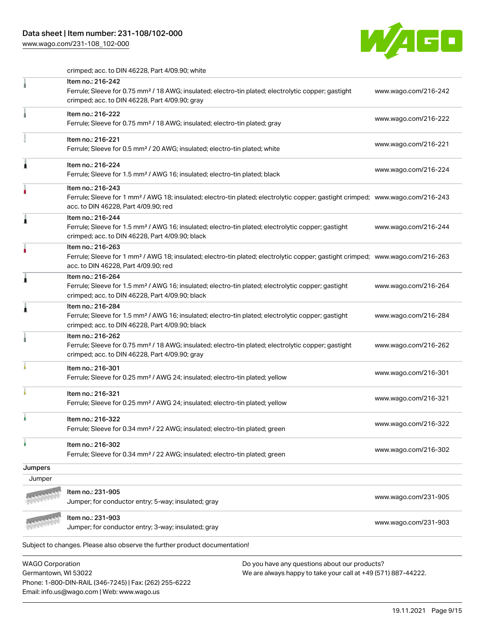### Data sheet | Item number: 231-108/102-000

Phone: 1-800-DIN-RAIL (346-7245) | Fax: (262) 255-6222

Email: info.us@wago.com | Web: www.wago.us

[www.wago.com/231-108\\_102-000](http://www.wago.com/231-108_102-000)



crimped; acc. to DIN 46228, Part 4/09.90; white

|                         | Item no.: 216-242<br>Ferrule; Sleeve for 0.75 mm <sup>2</sup> / 18 AWG; insulated; electro-tin plated; electrolytic copper; gastight<br>crimped; acc. to DIN 46228, Part 4/09.90; gray                  |                                                               | www.wago.com/216-242 |
|-------------------------|---------------------------------------------------------------------------------------------------------------------------------------------------------------------------------------------------------|---------------------------------------------------------------|----------------------|
|                         | Item no.: 216-222<br>Ferrule; Sleeve for 0.75 mm <sup>2</sup> / 18 AWG; insulated; electro-tin plated; gray                                                                                             |                                                               | www.wago.com/216-222 |
|                         | Item no.: 216-221<br>Ferrule; Sleeve for 0.5 mm <sup>2</sup> / 20 AWG; insulated; electro-tin plated; white                                                                                             |                                                               | www.wago.com/216-221 |
|                         | Item no.: 216-224<br>Ferrule; Sleeve for 1.5 mm <sup>2</sup> / AWG 16; insulated; electro-tin plated; black                                                                                             |                                                               | www.wago.com/216-224 |
|                         | Item no.: 216-243<br>Ferrule; Sleeve for 1 mm <sup>2</sup> / AWG 18; insulated; electro-tin plated; electrolytic copper; gastight crimped; www.wago.com/216-243<br>acc. to DIN 46228, Part 4/09.90; red |                                                               |                      |
|                         | Item no.: 216-244<br>Ferrule; Sleeve for 1.5 mm <sup>2</sup> / AWG 16; insulated; electro-tin plated; electrolytic copper; gastight<br>crimped; acc. to DIN 46228, Part 4/09.90; black                  |                                                               | www.wago.com/216-244 |
|                         | Item no.: 216-263<br>Ferrule; Sleeve for 1 mm <sup>2</sup> / AWG 18; insulated; electro-tin plated; electrolytic copper; gastight crimped; www.wago.com/216-263<br>acc. to DIN 46228, Part 4/09.90; red |                                                               |                      |
|                         | Item no.: 216-264<br>Ferrule; Sleeve for 1.5 mm <sup>2</sup> / AWG 16; insulated; electro-tin plated; electrolytic copper; gastight<br>crimped; acc. to DIN 46228, Part 4/09.90; black                  |                                                               | www.wago.com/216-264 |
|                         | Item no.: 216-284<br>Ferrule; Sleeve for 1.5 mm <sup>2</sup> / AWG 16; insulated; electro-tin plated; electrolytic copper; gastight<br>crimped; acc. to DIN 46228, Part 4/09.90; black                  |                                                               | www.wago.com/216-284 |
|                         | Item no.: 216-262<br>Ferrule; Sleeve for 0.75 mm <sup>2</sup> / 18 AWG; insulated; electro-tin plated; electrolytic copper; gastight<br>crimped; acc. to DIN 46228, Part 4/09.90; gray                  |                                                               | www.wago.com/216-262 |
|                         | Item no.: 216-301<br>Ferrule; Sleeve for 0.25 mm <sup>2</sup> / AWG 24; insulated; electro-tin plated; yellow                                                                                           |                                                               | www.wago.com/216-301 |
|                         | Item no.: 216-321<br>Ferrule; Sleeve for 0.25 mm <sup>2</sup> / AWG 24; insulated; electro-tin plated; yellow                                                                                           |                                                               | www.wago.com/216-321 |
|                         | Item no.: 216-322<br>Ferrule: Sleeve for 0.34 mm <sup>2</sup> / 22 AWG: insulated: electro-tin plated: green                                                                                            |                                                               | www.wago.com/216-322 |
|                         | Item no.: 216-302<br>Ferrule; Sleeve for 0.34 mm <sup>2</sup> / 22 AWG; insulated; electro-tin plated; green                                                                                            |                                                               | www.wago.com/216-302 |
| Jumpers                 |                                                                                                                                                                                                         |                                                               |                      |
| Jumper                  |                                                                                                                                                                                                         |                                                               |                      |
|                         | Item no.: 231-905                                                                                                                                                                                       |                                                               |                      |
|                         | Jumper; for conductor entry; 5-way; insulated; gray                                                                                                                                                     |                                                               | www.wago.com/231-905 |
|                         | Item no.: 231-903<br>Jumper; for conductor entry; 3-way; insulated; gray                                                                                                                                |                                                               | www.wago.com/231-903 |
|                         | Subject to changes. Please also observe the further product documentation!                                                                                                                              |                                                               |                      |
| <b>WAGO Corporation</b> |                                                                                                                                                                                                         | Do you have any questions about our products?                 |                      |
| Germantown, WI 53022    |                                                                                                                                                                                                         | We are always happy to take your call at +49 (571) 887-44222. |                      |

19.11.2021 Page 9/15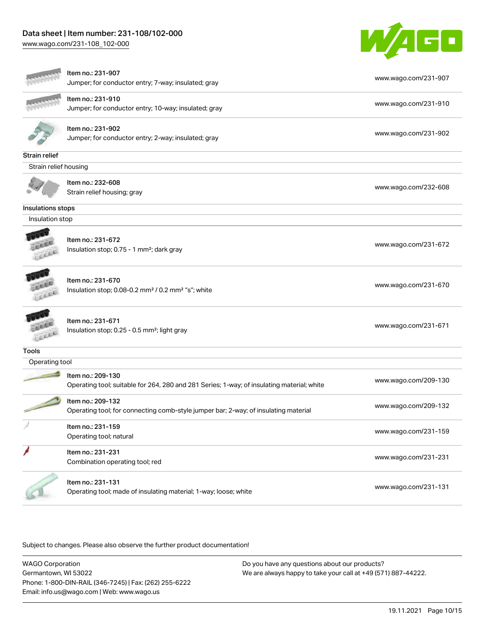# Data sheet | Item number: 231-108/102-000

[www.wago.com/231-108\\_102-000](http://www.wago.com/231-108_102-000)



|                       | Item no.: 231-907<br>Jumper; for conductor entry; 7-way; insulated; gray                                        | www.wago.com/231-907 |
|-----------------------|-----------------------------------------------------------------------------------------------------------------|----------------------|
|                       | Item no.: 231-910<br>Jumper; for conductor entry; 10-way; insulated; gray                                       | www.wago.com/231-910 |
|                       | Item no.: 231-902<br>Jumper; for conductor entry; 2-way; insulated; gray                                        | www.wago.com/231-902 |
| Strain relief         |                                                                                                                 |                      |
| Strain relief housing |                                                                                                                 |                      |
|                       | Item no.: 232-608<br>Strain relief housing; gray                                                                | www.wago.com/232-608 |
| Insulations stops     |                                                                                                                 |                      |
| Insulation stop       |                                                                                                                 |                      |
|                       | Item no.: 231-672<br>Insulation stop; 0.75 - 1 mm <sup>2</sup> ; dark gray                                      | www.wago.com/231-672 |
|                       | Item no.: 231-670<br>Insulation stop; 0.08-0.2 mm <sup>2</sup> / 0.2 mm <sup>2</sup> "s"; white                 | www.wago.com/231-670 |
|                       | Item no.: 231-671<br>Insulation stop; 0.25 - 0.5 mm <sup>2</sup> ; light gray                                   | www.wago.com/231-671 |
| <b>Tools</b>          |                                                                                                                 |                      |
| Operating tool        |                                                                                                                 |                      |
|                       | Item no.: 209-130<br>Operating tool; suitable for 264, 280 and 281 Series; 1-way; of insulating material; white | www.wago.com/209-130 |
|                       | Item no.: 209-132<br>Operating tool; for connecting comb-style jumper bar; 2-way; of insulating material        | www.wago.com/209-132 |
|                       | Item no.: 231-159<br>Operating tool; natural                                                                    | www.wago.com/231-159 |
|                       | Item no.: 231-231<br>Combination operating tool; red                                                            | www.wago.com/231-231 |
|                       | Item no.: 231-131<br>Operating tool; made of insulating material; 1-way; loose; white                           | www.wago.com/231-131 |

Subject to changes. Please also observe the further product documentation!

WAGO Corporation Germantown, WI 53022 Phone: 1-800-DIN-RAIL (346-7245) | Fax: (262) 255-6222 Email: info.us@wago.com | Web: www.wago.us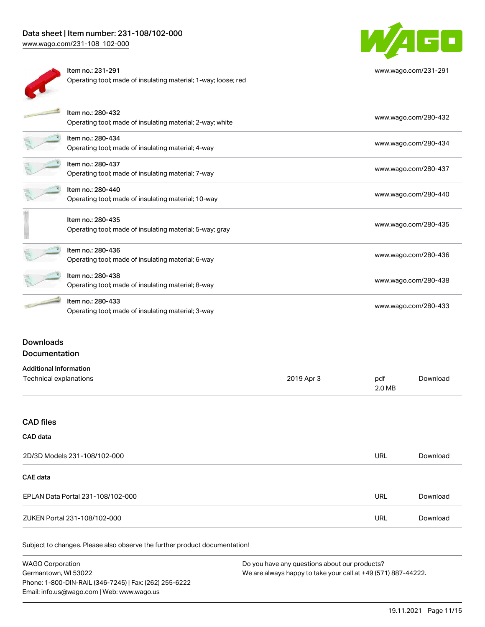## Data sheet | Item number: 231-108/102-000

[www.wago.com/231-108\\_102-000](http://www.wago.com/231-108_102-000)



Item no.: 231-291 Operating tool; made of insulating material; 1-way; loose; red



[www.wago.com/231-291](http://www.wago.com/231-291)

| Item no.: 280-432<br>Operating tool; made of insulating material; 2-way; white | www.wago.com/280-432 |
|--------------------------------------------------------------------------------|----------------------|
| Item no.: 280-434<br>Operating tool; made of insulating material; 4-way        | www.wago.com/280-434 |
| Item no.: 280-437<br>Operating tool; made of insulating material; 7-way        | www.wago.com/280-437 |
| Item no.: 280-440<br>Operating tool; made of insulating material; 10-way       | www.wago.com/280-440 |
| Item no.: 280-435<br>Operating tool; made of insulating material; 5-way; gray  | www.wago.com/280-435 |
| Item no.: 280-436<br>Operating tool; made of insulating material; 6-way        | www.wago.com/280-436 |
| Item no.: 280-438<br>Operating tool; made of insulating material; 8-way        | www.wago.com/280-438 |
| Item no.: 280-433<br>Operating tool; made of insulating material; 3-way        | www.wago.com/280-433 |

### Downloads Documentation

# Additional Information

| Additional Information |            |        |          |
|------------------------|------------|--------|----------|
| Technical explanations | 2019 Apr 3 | pdf    | Download |
|                        |            | 2.0 MB |          |

### CAD files

#### CAD data

| 2D/3D Models 231-108/102-000      | URL | Download |
|-----------------------------------|-----|----------|
| CAE data                          |     |          |
| EPLAN Data Portal 231-108/102-000 | URL | Download |
| ZUKEN Portal 231-108/102-000      | URL | Download |

| WAGO Corporation                                       | Do you have any questions about our products?                 |
|--------------------------------------------------------|---------------------------------------------------------------|
| Germantown. WI 53022                                   | We are always happy to take your call at +49 (571) 887-44222. |
| Phone: 1-800-DIN-RAIL (346-7245)   Fax: (262) 255-6222 |                                                               |
| Email: info.us@wago.com   Web: www.wago.us             |                                                               |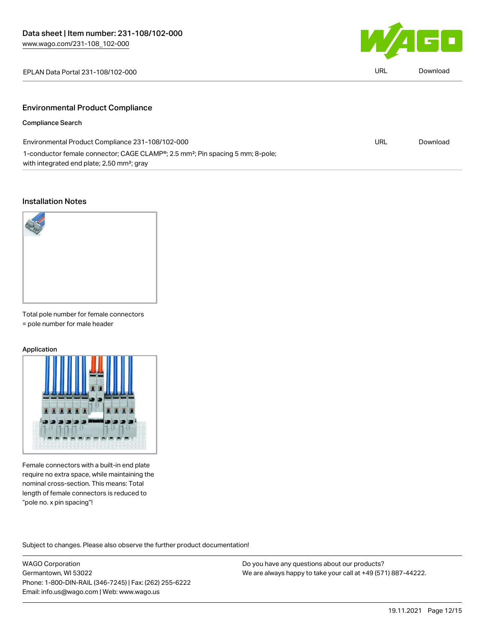

| EPLAN Data Portal 231-108/102-000 | URL | Download |
|-----------------------------------|-----|----------|
|                                   |     |          |

### Environmental Product Compliance

#### Compliance Search

| Environmental Product Compliance 231-108/102-000                                                        | URL | Download |
|---------------------------------------------------------------------------------------------------------|-----|----------|
| 1-conductor female connector; CAGE CLAMP <sup>®</sup> ; 2.5 mm <sup>2</sup> ; Pin spacing 5 mm; 8-pole; |     |          |
| with integrated end plate; 2,50 mm <sup>2</sup> ; gray                                                  |     |          |

### Installation Notes



Total pole number for female connectors = pole number for male header

#### Application



Female connectors with a built-in end plate require no extra space, while maintaining the nominal cross-section. This means: Total length of female connectors is reduced to "pole no. x pin spacing"!

Subject to changes. Please also observe the further product documentation!

WAGO Corporation Germantown, WI 53022 Phone: 1-800-DIN-RAIL (346-7245) | Fax: (262) 255-6222 Email: info.us@wago.com | Web: www.wago.us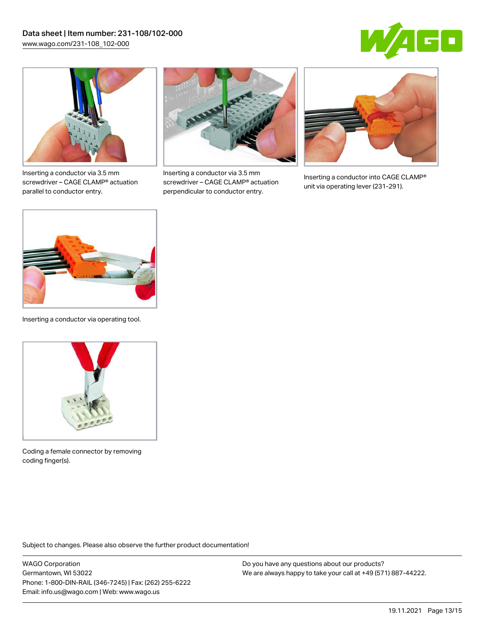



Inserting a conductor via 3.5 mm screwdriver – CAGE CLAMP® actuation parallel to conductor entry.



Inserting a conductor via 3.5 mm screwdriver – CAGE CLAMP® actuation perpendicular to conductor entry.



Inserting a conductor into CAGE CLAMP® unit via operating lever (231-291).



Inserting a conductor via operating tool.



Coding a female connector by removing coding finger(s).

Subject to changes. Please also observe the further product documentation!

WAGO Corporation Germantown, WI 53022 Phone: 1-800-DIN-RAIL (346-7245) | Fax: (262) 255-6222 Email: info.us@wago.com | Web: www.wago.us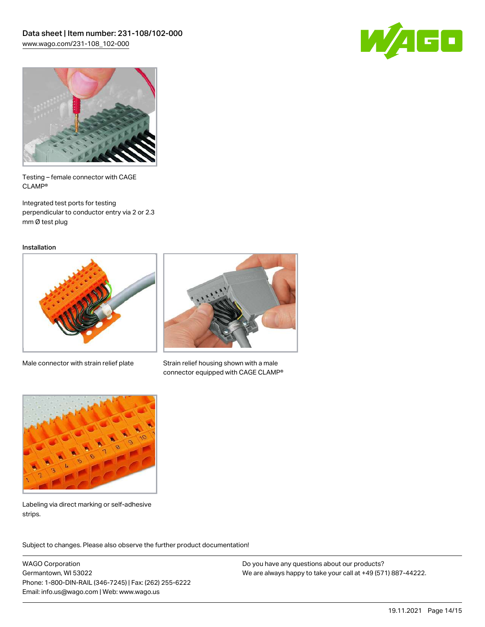



Testing – female connector with CAGE CLAMP®

Integrated test ports for testing perpendicular to conductor entry via 2 or 2.3 mm Ø test plug

Installation



Male connector with strain relief plate



Strain relief housing shown with a male connector equipped with CAGE CLAMP®



Labeling via direct marking or self-adhesive strips.

Subject to changes. Please also observe the further product documentation! Product family

WAGO Corporation Germantown, WI 53022 Phone: 1-800-DIN-RAIL (346-7245) | Fax: (262) 255-6222 Email: info.us@wago.com | Web: www.wago.us